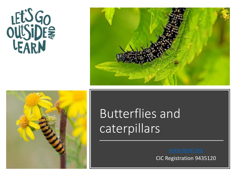





## Butterflies and caterpillars

CIC Registration 9435120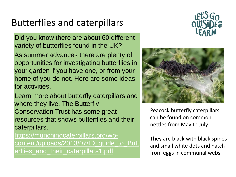## Butterflies and caterpillars

Did you know there are about 60 different variety of butterflies found in the UK?

As summer advances there are plenty of opportunities for investigating butterflies in your garden if you have one, or from your home of you do not. Here are some ideas for activities.

Learn more about butterfly caterpillars and where they live. The Butterfly Conservation Trust has some great resources that shows butterflies and their caterpillars.

https://munchingcaterpillars.org/wpcontent/uploads/2013/07/ID\_guide\_to\_Butt erflies\_and\_their\_caterpillars1.pdf





Peacock butterfly caterpillars can be found on common nettles from May to July.

They are black with black spines and small white dots and hatch from eggs in communal webs.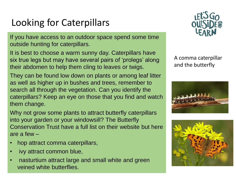## Looking for Caterpillars

If you have access to an outdoor space spend some time outside hunting for caterpillars.

It is best to choose a warm sunny day. Caterpillars have six true legs but may have several pairs of 'prolegs' along their abdomen to help them cling to leaves or twigs.

They can be found low down on plants or among leaf litter as well as higher up in bushes and trees, remember to search all through the vegetation. Can you identify the caterpillars? Keep an eye on those that you find and watch them change.

Why not grow some plants to attract butterfly caterpillars into your garden or your windowsill? The Butterfly Conservation Trust have a full list on their website but here are a few –

- hop attract comma caterpillars,
- ivy attract common blue,
- nasturtium attract large and small white and green veined white butterflies.



A comma caterpillar and the butterfly